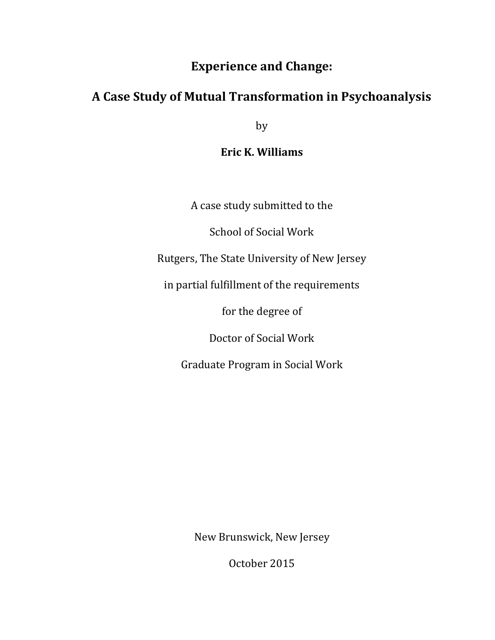## **Experience and Change:**

# **A Case Study of Mutual Transformation in Psychoanalysis**

by

**Eric K. Williams**

A case study submitted to the

School of Social Work

Rutgers, The State University of New Jersey

in partial fulfillment of the requirements

for the degree of

Doctor of Social Work

Graduate Program in Social Work

New Brunswick, New Jersey

October 2015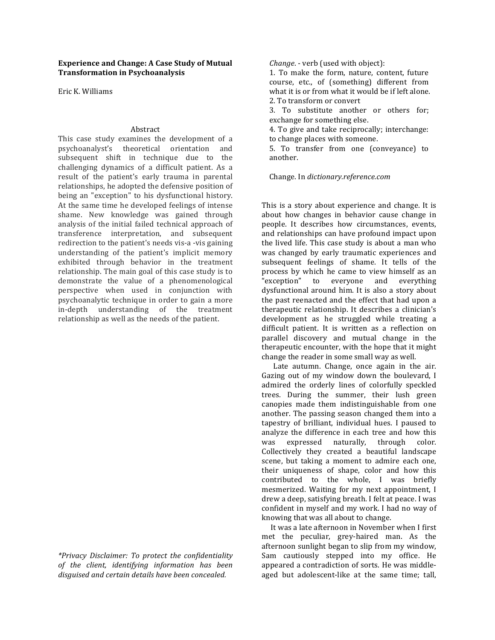#### **Experience and Change: A Case Study of Mutual Transformation in Psychoanalysis**

Eric K. Williams

### Abstract

This case study examines the development of a psychoanalyst's theoretical orientation and subsequent shift in technique due to the challenging dynamics of a difficult patient. As a result of the patient's early trauma in parental relationships, he adopted the defensive position of being an "exception" to his dysfunctional history. At the same time he developed feelings of intense shame. New knowledge was gained through analysis of the initial failed technical approach of transference interpretation, and subsequent redirection to the patient's needs vis-a -vis gaining understanding of the patient's implicit memory exhibited through behavior in the treatment relationship. The main goal of this case study is to demonstrate the value of a phenomenological perspective when used in conjunction with psychoanalytic technique in order to gain a more in-depth understanding of the treatment relationship as well as the needs of the patient.

*\*Privacy Disclaimer: To protect the confidentiality of the client, identifying information has been disguised and certain details have been concealed.*

*Change*. - verb (used with object):

1. To make the form, nature, content, future course, etc., of (something) different from what it is or from what it would be if left alone. 2. To transform or convert

3. To substitute another or others for; exchange for something else.

4. To give and take reciprocally; interchange: to change places with someone.

5. To transfer from one (conveyance) to another.

Change. In *dictionary.reference.com*

This is a story about experience and change. It is about how changes in behavior cause change in people. It describes how circumstances, events, and relationships can have profound impact upon the lived life. This case study is about a man who was changed by early traumatic experiences and subsequent feelings of shame. It tells of the process by which he came to view himself as an "exception" to everyone and everything dysfunctional around him. It is also a story about the past reenacted and the effect that had upon a therapeutic relationship. It describes a clinician's development as he struggled while treating a difficult patient. It is written as a reflection on parallel discovery and mutual change in the therapeutic encounter, with the hope that it might change the reader in some small way as well.

Late autumn. Change, once again in the air. Gazing out of my window down the boulevard, I admired the orderly lines of colorfully speckled trees. During the summer, their lush green canopies made them indistinguishable from one another. The passing season changed them into a tapestry of brilliant, individual hues. I paused to analyze the difference in each tree and how this was expressed naturally, through color. Collectively they created a beautiful landscape scene, but taking a moment to admire each one, their uniqueness of shape, color and how this contributed to the whole, I was briefly mesmerized. Waiting for my next appointment, I drew a deep, satisfying breath. I felt at peace. I was confident in myself and my work. I had no way of knowing that was all about to change.

It was a late afternoon in November when I first met the peculiar, grey-haired man. As the afternoon sunlight began to slip from my window, Sam cautiously stepped into my office. He appeared a contradiction of sorts. He was middleaged but adolescent-like at the same time; tall,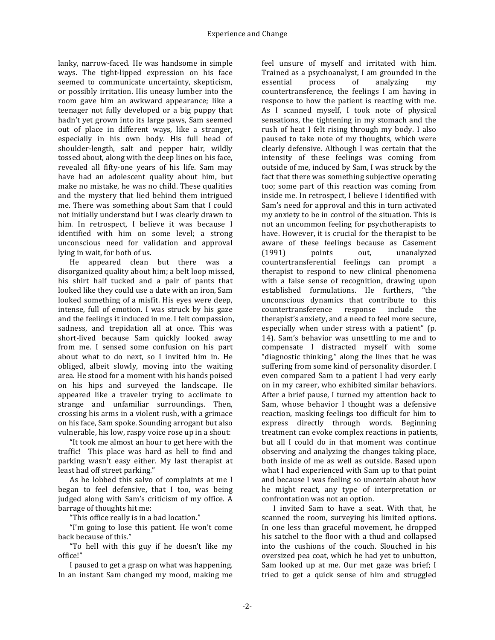lanky, narrow-faced. He was handsome in simple ways. The tight-lipped expression on his face seemed to communicate uncertainty, skepticism, or possibly irritation. His uneasy lumber into the room gave him an awkward appearance; like a teenager not fully developed or a big puppy that hadn't yet grown into its large paws, Sam seemed out of place in different ways, like a stranger, especially in his own body. His full head of shoulder-length, salt and pepper hair, wildly tossed about, along with the deep lines on his face, revealed all fifty-one years of his life. Sam may have had an adolescent quality about him, but make no mistake, he was no child. These qualities and the mystery that lied behind them intrigued me. There was something about Sam that I could not initially understand but I was clearly drawn to him. In retrospect. I believe it was because I identified with him on some level; a strong unconscious need for validation and approval lying in wait, for both of us.

He appeared clean but there was a disorganized quality about him; a belt loop missed, his shirt half tucked and a pair of pants that looked like they could use a date with an iron, Sam looked something of a misfit. His eyes were deep, intense, full of emotion. I was struck by his gaze and the feelings it induced in me. I felt compassion, sadness, and trepidation all at once. This was short-lived because Sam quickly looked away from me. I sensed some confusion on his part about what to do next, so I invited him in. He obliged, albeit slowly, moving into the waiting area. He stood for a moment with his hands poised on his hips and surveyed the landscape. He appeared like a traveler trying to acclimate to strange and unfamiliar surroundings. Then, crossing his arms in a violent rush, with a grimace on his face, Sam spoke. Sounding arrogant but also vulnerable, his low, raspy voice rose up in a shout:

"It took me almost an hour to get here with the traffic! This place was hard as hell to find and parking wasn't easy either. My last therapist at least had off street parking."

As he lobbed this salvo of complaints at me I began to feel defensive, that I too, was being judged along with Sam's criticism of my office. A barrage of thoughts hit me:

"This office really is in a bad location."

"I'm going to lose this patient. He won't come back because of this."

"To hell with this guy if he doesn't like my office!"

I paused to get a grasp on what was happening. In an instant Sam changed my mood, making me

feel unsure of myself and irritated with him. Trained as a psychoanalyst. I am grounded in the essential process of analyzing my countertransference, the feelings I am having in response to how the patient is reacting with me. As I scanned myself, I took note of physical sensations, the tightening in my stomach and the rush of heat I felt rising through my body. I also paused to take note of my thoughts, which were clearly defensive. Although I was certain that the intensity of these feelings was coming from outside of me, induced by Sam, I was struck by the fact that there was something subjective operating too; some part of this reaction was coming from inside me. In retrospect, I believe I identified with Sam's need for approval and this in turn activated my anxiety to be in control of the situation. This is not an uncommon feeling for psychotherapists to have. However, it is crucial for the therapist to be aware of these feelings because as Casement (1991) points out, unanalyzed countertransferential feelings can prompt a therapist to respond to new clinical phenomena with a false sense of recognition, drawing upon established formulations. He furthers, "the unconscious dynamics that contribute to this countertransference response include the therapist's anxiety, and a need to feel more secure, especially when under stress with a patient" (p. 14). Sam's behavior was unsettling to me and to compensate I distracted myself with some "diagnostic thinking," along the lines that he was suffering from some kind of personality disorder. I even compared Sam to a patient I had very early on in my career, who exhibited similar behaviors. After a brief pause, I turned my attention back to Sam, whose behavior I thought was a defensive reaction, masking feelings too difficult for him to express directly through words. Beginning treatment can evoke complex reactions in patients, but all I could do in that moment was continue observing and analyzing the changes taking place, both inside of me as well as outside. Based upon what I had experienced with Sam up to that point and because I was feeling so uncertain about how he might react, any type of interpretation or confrontation was not an option.

I invited Sam to have a seat. With that, he scanned the room, surveying his limited options. In one less than graceful movement, he dropped his satchel to the floor with a thud and collapsed into the cushions of the couch. Slouched in his oversized pea coat, which he had yet to unbutton, Sam looked up at me. Our met gaze was brief; I tried to get a quick sense of him and struggled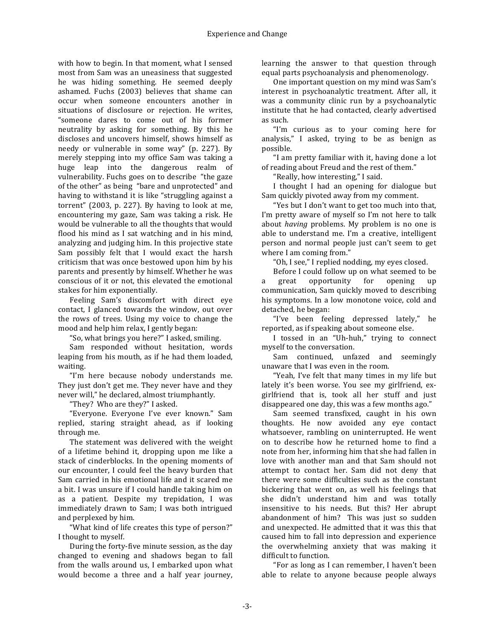with how to begin. In that moment, what I sensed most from Sam was an uneasiness that suggested he was hiding something. He seemed deeply ashamed. Fuchs (2003) believes that shame can occur when someone encounters another in situations of disclosure or rejection. He writes, "someone dares to come out of his former neutrality by asking for something. By this he discloses and uncovers himself, shows himself as needy or vulnerable in some way" (p. 227). By merely stepping into my office Sam was taking a huge leap into the dangerous realm of vulnerability. Fuchs goes on to describe "the gaze of the other" as being "bare and unprotected" and having to withstand it is like "struggling against a torrent"  $(2003, p. 227)$ . By having to look at me, encountering my gaze, Sam was taking a risk. He would be vulnerable to all the thoughts that would flood his mind as I sat watching and in his mind, analyzing and judging him. In this projective state Sam possibly felt that I would exact the harsh criticism that was once bestowed upon him by his parents and presently by himself. Whether he was conscious of it or not, this elevated the emotional stakes for him exponentially.

Feeling Sam's discomfort with direct eye contact. I glanced towards the window, out over the rows of trees. Using my voice to change the mood and help him relax, I gently began:

"So, what brings you here?" I asked, smiling.

Sam responded without hesitation, words leaping from his mouth, as if he had them loaded, waiting.

"I'm here because nobody understands me. They just don't get me. They never have and they never will," he declared, almost triumphantly.

"They? Who are they?" I asked.

"Everyone. Everyone I've ever known." Sam replied, staring straight ahead, as if looking through me.

The statement was delivered with the weight of a lifetime behind it, dropping upon me like a stack of cinderblocks. In the opening moments of our encounter, I could feel the heavy burden that Sam carried in his emotional life and it scared me a bit. I was unsure if I could handle taking him on as a patient. Despite my trepidation, I was immediately drawn to Sam; I was both intrigued and perplexed by him.

"What kind of life creates this type of person?" I thought to myself.

During the forty-five minute session, as the day changed to evening and shadows began to fall from the walls around us, I embarked upon what would become a three and a half year journey, learning the answer to that question through equal parts psychoanalysis and phenomenology.

One important question on my mind was Sam's interest in psychoanalytic treatment. After all, it was a community clinic run by a psychoanalytic institute that he had contacted, clearly advertised as such.

"I'm curious as to your coming here for analysis," I asked, trying to be as benign as possible.

"I am pretty familiar with it, having done a lot of reading about Freud and the rest of them."

"Really, how interesting," I said.

I thought I had an opening for dialogue but Sam quickly pivoted away from my comment.

"Yes but I don't want to get too much into that, I'm pretty aware of myself so I'm not here to talk about *having* problems. My problem is no one is able to understand me. I'm a creative, intelligent person and normal people just can't seem to get where I am coming from."

"Oh, I see," I replied nodding, my eyes closed.

Before I could follow up on what seemed to be a great opportunity for opening up communication, Sam quickly moved to describing his symptoms. In a low monotone voice, cold and detached, he began:

"I've been feeling depressed lately," he reported, as if speaking about someone else.

I tossed in an "Uh-huh," trying to connect myself to the conversation.

Sam continued, unfazed and seemingly unaware that I was even in the room.

"Yeah, I've felt that many times in my life but lately it's been worse. You see my girlfriend, exgirlfriend that is, took all her stuff and just disappeared one day, this was a few months ago."

Sam seemed transfixed, caught in his own thoughts. He now avoided any eye contact whatsoever, rambling on uninterrupted. He went on to describe how he returned home to find a note from her, informing him that she had fallen in love with another man and that Sam should not attempt to contact her. Sam did not deny that there were some difficulties such as the constant bickering that went on, as well his feelings that she didn't understand him and was totally insensitive to his needs. But this? Her abrupt abandonment of him? This was just so sudden and unexpected. He admitted that it was this that caused him to fall into depression and experience the overwhelming anxiety that was making it difficult to function.

"For as long as I can remember, I haven't been able to relate to anyone because people always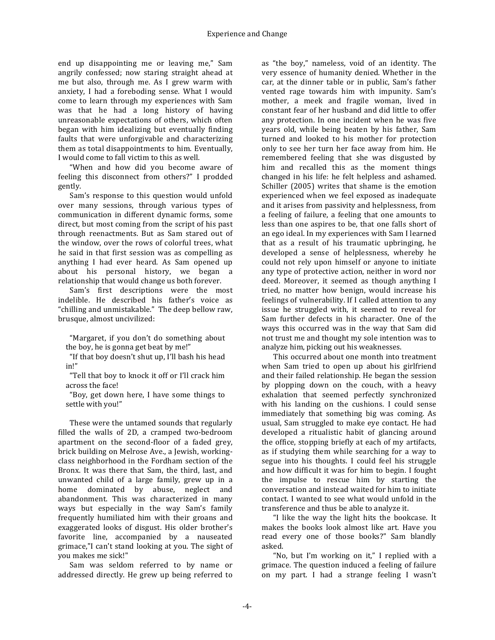end up disappointing me or leaving me," Sam angrily confessed; now staring straight ahead at me but also, through me. As I grew warm with anxiety, I had a foreboding sense. What I would come to learn through my experiences with Sam was that he had a long history of having unreasonable expectations of others, which often began with him idealizing but eventually finding faults that were unforgivable and characterizing them as total disappointments to him. Eventually, I would come to fall victim to this as well.

"When and how did you become aware of feeling this disconnect from others?" I prodded gently.

Sam's response to this question would unfold over many sessions, through various types of communication in different dynamic forms, some direct, but most coming from the script of his past through reenactments. But as Sam stared out of the window, over the rows of colorful trees, what he said in that first session was as compelling as anything I had ever heard. As Sam opened up about his personal history, we began a relationship that would change us both forever.

Sam's first descriptions were the most indelible. He described his father's voice as "chilling and unmistakable." The deep bellow raw, brusque, almost uncivilized:

"Margaret, if you don't do something about the boy, he is gonna get beat by me!"

"If that boy doesn't shut up, I'll bash his head in!"

"Tell that boy to knock it off or I'll crack him across the face!

"Boy, get down here, I have some things to settle with you!"

These were the untamed sounds that regularly filled the walls of 2D, a cramped two-bedroom apartment on the second-floor of a faded grey, brick building on Melrose Ave., a Jewish, workingclass neighborhood in the Fordham section of the Bronx. It was there that Sam, the third, last, and unwanted child of a large family, grew up in a home dominated by abuse, neglect and abandonment. This was characterized in many ways but especially in the way Sam's family frequently humiliated him with their groans and exaggerated looks of disgust. His older brother's favorite line, accompanied by a nauseated grimace,"I can't stand looking at you. The sight of you makes me sick!"

Sam was seldom referred to by name or addressed directly. He grew up being referred to

as "the boy," nameless, void of an identity. The very essence of humanity denied. Whether in the car, at the dinner table or in public, Sam's father vented rage towards him with impunity. Sam's mother, a meek and fragile woman, lived in constant fear of her husband and did little to offer any protection. In one incident when he was five years old, while being beaten by his father, Sam turned and looked to his mother for protection only to see her turn her face away from him. He remembered feeling that she was disgusted by him and recalled this as the moment things changed in his life: he felt helpless and ashamed. Schiller (2005) writes that shame is the emotion experienced when we feel exposed as inadequate and it arises from passivity and helplessness, from a feeling of failure, a feeling that one amounts to less than one aspires to be, that one falls short of an ego ideal. In my experiences with Sam I learned that as a result of his traumatic upbringing, he developed a sense of helplessness, whereby he could not rely upon himself or anyone to initiate any type of protective action, neither in word nor deed. Moreover, it seemed as though anything I tried, no matter how benign, would increase his feelings of vulnerability. If I called attention to any issue he struggled with, it seemed to reveal for Sam further defects in his character. One of the ways this occurred was in the way that Sam did not trust me and thought my sole intention was to analyze him, picking out his weaknesses.

This occurred about one month into treatment when Sam tried to open up about his girlfriend and their failed relationship. He began the session by plopping down on the couch, with a heavy exhalation that seemed perfectly synchronized with his landing on the cushions. I could sense immediately that something big was coming. As usual, Sam struggled to make eye contact. He had developed a ritualistic habit of glancing around the office, stopping briefly at each of my artifacts, as if studying them while searching for a way to segue into his thoughts. I could feel his struggle and how difficult it was for him to begin. I fought the impulse to rescue him by starting the conversation and instead waited for him to initiate contact. I wanted to see what would unfold in the transference and thus be able to analyze it.

"I like the way the light hits the bookcase. It makes the books look almost like art. Have you read every one of those books?" Sam blandly asked.

"No, but I'm working on it," I replied with a grimace. The question induced a feeling of failure on my part. I had a strange feeling I wasn't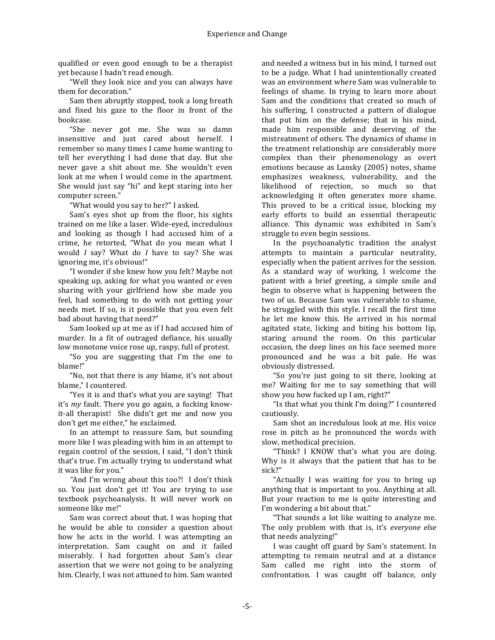qualified or even good enough to be a therapist vet because I hadn't read enough.

"Well they look nice and you can always have them for decoration."

Sam then abruptly stopped, took a long breath and fixed his gaze to the floor in front of the bookcase.

"She never got me. She was so damn insensitive and just cared about herself. I remember so many times I came home wanting to tell her everything I had done that day. But she never gave a shit about me. She wouldn't even look at me when I would come in the apartment. She would just say "hi" and kept staring into her computer screen."

"What would you say to her?" I asked.

Sam's eyes shot up from the floor, his sights trained on me like a laser. Wide-eved, incredulous and looking as though I had accused him of a crime, he retorted, "What do you mean what I would *I* say? What do *I* have to say? She was ignoring me, it's obvious!"

"I wonder if she knew how you felt? Maybe not speaking up, asking for what you wanted or even sharing with your girlfriend how she made you feel, had something to do with not getting your needs met. If so, is it possible that you even felt bad about having that need?"

Sam looked up at me as if I had accused him of murder. In a fit of outraged defiance, his usually low monotone voice rose up, raspy, full of protest.

"So you are suggesting that I'm the one to blame!"

"No, not that there is any blame, it's not about blame," I countered.

"Yes it is and that's what you are saying! That it's *my* fault. There you go again, a fucking knowit-all therapist! She didn't get me and now you don't get me either," he exclaimed.

In an attempt to reassure Sam, but sounding more like I was pleading with him in an attempt to regain control of the session, I said, "I don't think that's true. I'm actually trying to understand what it was like for you."

"And I'm wrong about this too?! I don't think so. You just don't get it! You are trying to use textbook psychoanalysis. It will never work on someone like me!"

Sam was correct about that. I was hoping that he would be able to consider a question about how he acts in the world. I was attempting an interpretation. Sam caught on and it failed miserably. I had forgotten about Sam's clear assertion that we were not going to be analyzing him. Clearly, I was not attuned to him. Sam wanted

and needed a witness but in his mind, I turned out to be a judge. What I had unintentionally created was an environment where Sam was vulnerable to feelings of shame. In trying to learn more about Sam and the conditions that created so much of his suffering, I constructed a pattern of dialogue that put him on the defense; that in his mind, made him responsible and deserving of the mistreatment of others. The dynamics of shame in the treatment relationship are considerably more complex than their phenomenology as overt emotions because as Lansky (2005) notes, shame emphasizes weakness, vulnerability, and the likelihood of rejection, so much so that acknowledging it often generates more shame. This proved to be a critical issue, blocking  $my$ early efforts to build an essential therapeutic alliance. This dynamic was exhibited in Sam's struggle to even begin sessions.

In the psychoanalytic tradition the analyst attempts to maintain a particular neutrality, especially when the patient arrives for the session. As a standard way of working, I welcome the patient with a brief greeting, a simple smile and begin to observe what is happening between the two of us. Because Sam was vulnerable to shame, he struggled with this style. I recall the first time he let me know this. He arrived in his normal agitated state, licking and biting his bottom lip, staring around the room. On this particular occasion, the deep lines on his face seemed more pronounced and he was a bit pale. He was obviously distressed. 

"So you're just going to sit there, looking at me? Waiting for me to say something that will show you how fucked up I am, right?"

"Is that what you think I'm doing?" I countered cautiously.

Sam shot an incredulous look at me. His voice rose in pitch as he pronounced the words with slow, methodical precision.

"Think? I KNOW that's what you are doing. Why is it always that the patient that has to be sick?"

"Actually I was waiting for you to bring up anything that is important to you. Anything at all. But your reaction to me is quite interesting and I'm wondering a bit about that."

"That sounds a lot like waiting to analyze me. The only problem with that is, it's *everyone else* that needs analyzing!"

I was caught off guard by Sam's statement. In attempting to remain neutral and at a distance Sam called me right into the storm of confrontation. I was caught off balance, only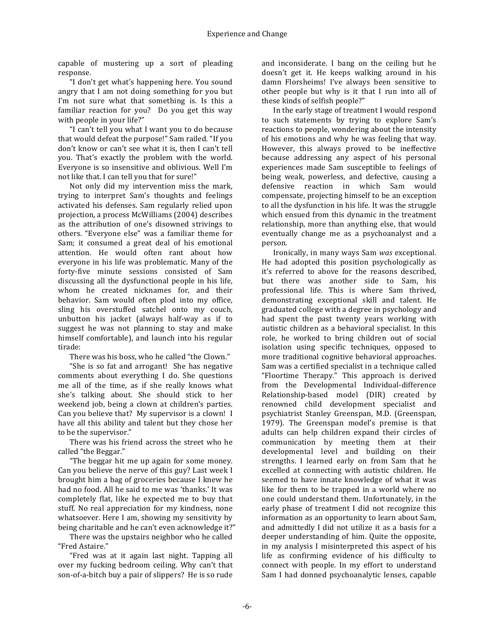capable of mustering up a sort of pleading response.

"I don't get what's happening here. You sound angry that I am not doing something for you but I'm not sure what that something is. Is this a familiar reaction for you? Do you get this way with people in your life?"

"I can't tell you what I want you to do because that would defeat the purpose!" Sam railed. "If you don't know or can't see what it is, then I can't tell you. That's exactly the problem with the world. Everyone is so insensitive and oblivious. Well I'm not like that. I can tell you that for sure!"

Not only did my intervention miss the mark, trying to interpret Sam's thoughts and feelings activated his defenses. Sam regularly relied upon projection, a process McWilliams (2004) describes as the attribution of one's disowned strivings to others. "Everyone else" was a familiar theme for Sam; it consumed a great deal of his emotional attention. He would often rant about how everyone in his life was problematic. Many of the forty-five minute sessions consisted of Sam discussing all the dysfunctional people in his life, whom he created nicknames for, and their behavior. Sam would often plod into my office, sling his overstuffed satchel onto my couch, unbutton his jacket (always half-way as if to suggest he was not planning to stay and make himself comfortable), and launch into his regular tirade:

There was his boss, who he called "the Clown."

"She is so fat and arrogant! She has negative comments about everything I do. She questions me all of the time, as if she really knows what she's talking about. She should stick to her weekend job, being a clown at children's parties. Can you believe that? My supervisor is a clown! I have all this ability and talent but they chose her to be the supervisor."

There was his friend across the street who he called "the Beggar."

"The beggar hit me up again for some money. Can you believe the nerve of this guy? Last week I brought him a bag of groceries because I knew he had no food. All he said to me was 'thanks.' It was completely flat, like he expected me to buy that stuff. No real appreciation for my kindness, none whatsoever. Here I am, showing my sensitivity by being charitable and he can't even acknowledge it?"

There was the upstairs neighbor who he called "Fred Astaire."

"Fred was at it again last night. Tapping all over my fucking bedroom ceiling. Why can't that son-of-a-bitch buy a pair of slippers? He is so rude and inconsiderate. I bang on the ceiling but he doesn't get it. He keeps walking around in his damn Florsheims! I've always been sensitive to other people but why is it that I run into all of these kinds of selfish people?"

In the early stage of treatment I would respond to such statements by trying to explore Sam's reactions to people, wondering about the intensity of his emotions and why he was feeling that way. However, this always proved to be ineffective because addressing any aspect of his personal experiences made Sam susceptible to feelings of being weak, powerless, and defective, causing a defensive reaction in which Sam would compensate, projecting himself to be an exception to all the dysfunction in his life. It was the struggle which ensued from this dynamic in the treatment relationship, more than anything else, that would eventually change me as a psychoanalyst and a person.

Ironically, in many ways Sam *was* exceptional. He had adopted this position psychologically as it's referred to above for the reasons described, but there was another side to Sam, his professional life. This is where Sam thrived, demonstrating exceptional skill and talent. He graduated college with a degree in psychology and had spent the past twenty years working with autistic children as a behavioral specialist. In this role, he worked to bring children out of social isolation using specific techniques, opposed to more traditional cognitive behavioral approaches. Sam was a certified specialist in a technique called "Floortime Therapy." This approach is derived from the Developmental Individual-difference Relationship-based model (DIR) created by renowned child development specialist and psychiatrist Stanley Greenspan, M.D. (Greenspan, 1979). The Greenspan model's premise is that adults can help children expand their circles of communication by meeting them at their developmental level and building on their strengths. I learned early on from Sam that he excelled at connecting with autistic children. He seemed to have innate knowledge of what it was like for them to be trapped in a world where no one could understand them. Unfortunately, in the early phase of treatment I did not recognize this information as an opportunity to learn about Sam, and admittedly I did not utilize it as a basis for a deeper understanding of him. Quite the opposite, in my analysis I misinterpreted this aspect of his life as confirming evidence of his difficulty to connect with people. In my effort to understand Sam I had donned psychoanalytic lenses, capable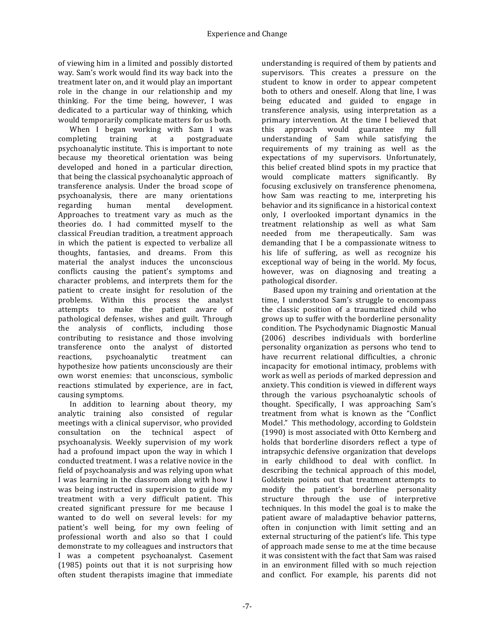of viewing him in a limited and possibly distorted way. Sam's work would find its way back into the treatment later on, and it would play an important role in the change in our relationship and my thinking. For the time being, however, I was dedicated to a particular way of thinking, which would temporarily complicate matters for us both.

When I began working with Sam I was completing training at a postgraduate psychoanalytic institute. This is important to note because my theoretical orientation was being developed and honed in a particular direction, that being the classical psychoanalytic approach of transference analysis. Under the broad scope of psychoanalysis, there are many orientations regarding human mental development. Approaches to treatment vary as much as the theories do. I had committed myself to the classical Freudian tradition, a treatment approach in which the patient is expected to verbalize all thoughts, fantasies, and dreams. From this material the analyst induces the unconscious conflicts causing the patient's symptoms and character problems, and interprets them for the patient to create insight for resolution of the problems. Within this process the analyst attempts to make the patient aware of pathological defenses, wishes and guilt. Through the analysis of conflicts, including those contributing to resistance and those involving transference onto the analyst of distorted reactions, psychoanalytic treatment can hypothesize how patients unconsciously are their own worst enemies: that unconscious, symbolic reactions stimulated by experience, are in fact, causing symptoms.

In addition to learning about theory, my analytic training also consisted of regular meetings with a clinical supervisor, who provided consultation on the technical aspect of psychoanalysis. Weekly supervision of my work had a profound impact upon the way in which  $I$ conducted treatment. I was a relative novice in the field of psychoanalysis and was relying upon what I was learning in the classroom along with how I was being instructed in supervision to guide my treatment with a very difficult patient. This created significant pressure for me because I wanted to do well on several levels: for my patient's well being, for my own feeling of professional worth and also so that I could demonstrate to my colleagues and instructors that I was a competent psychoanalyst. Casement  $(1985)$  points out that it is not surprising how often student therapists imagine that immediate

understanding is required of them by patients and supervisors. This creates a pressure on the student to know in order to appear competent both to others and oneself. Along that line, I was being educated and guided to engage in transference analysis, using interpretation as a primary intervention. At the time I believed that this approach would guarantee my full understanding of Sam while satisfying the requirements of my training as well as the expectations of my supervisors. Unfortunately, this belief created blind spots in my practice that would complicate matters significantly. By focusing exclusively on transference phenomena, how Sam was reacting to me, interpreting his behavior and its significance in a historical context only, I overlooked important dynamics in the treatment relationship as well as what Sam needed from me therapeutically. Sam was demanding that I be a compassionate witness to his life of suffering, as well as recognize his exceptional way of being in the world. My focus, however, was on diagnosing and treating a pathological disorder.

Based upon my training and orientation at the time, I understood Sam's struggle to encompass the classic position of a traumatized child who grows up to suffer with the borderline personality condition. The Psychodynamic Diagnostic Manual (2006) describes individuals with borderline personality organization as persons who tend to have recurrent relational difficulties, a chronic incapacity for emotional intimacy, problems with work as well as periods of marked depression and anxiety. This condition is viewed in different ways through the various psychoanalytic schools of thought. Specifically, I was approaching Sam's treatment from what is known as the "Conflict Model." This methodology, according to Goldstein (1990) is most associated with Otto Kernberg and holds that borderline disorders reflect a type of intrapsychic defensive organization that develops in early childhood to deal with conflict. In describing the technical approach of this model, Goldstein points out that treatment attempts to modify the patient's borderline personality structure through the use of interpretive techniques. In this model the goal is to make the patient aware of maladaptive behavior patterns, often in conjunction with limit setting and an external structuring of the patient's life. This type of approach made sense to me at the time because it was consistent with the fact that Sam was raised in an environment filled with so much rejection and conflict. For example, his parents did not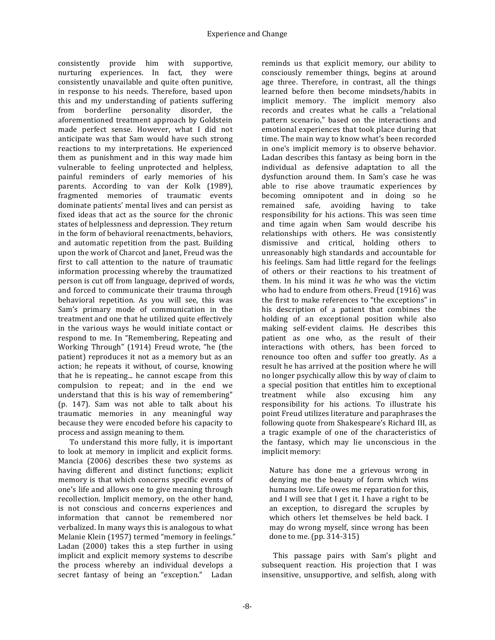consistently provide him with supportive, nurturing experiences. In fact, they were consistently unavailable and quite often punitive, in response to his needs. Therefore, based upon this and my understanding of patients suffering from borderline personality disorder, the aforementioned treatment approach by Goldstein made perfect sense. However, what I did not anticipate was that Sam would have such strong reactions to my interpretations. He experienced them as punishment and in this way made him vulnerable to feeling unprotected and helpless, painful reminders of early memories of his parents. According to van der Kolk (1989), fragmented memories of traumatic events dominate patients' mental lives and can persist as fixed ideas that act as the source for the chronic states of helplessness and depression. They return in the form of behavioral reenactments, behaviors, and automatic repetition from the past. Building upon the work of Charcot and Janet, Freud was the first to call attention to the nature of traumatic information processing whereby the traumatized person is cut off from language, deprived of words, and forced to communicate their trauma through behavioral repetition. As you will see, this was Sam's primary mode of communication in the treatment and one that he utilized quite effectively in the various ways he would initiate contact or respond to me. In "Remembering, Repeating and Working Through" (1914) Freud wrote, "he (the patient) reproduces it not as a memory but as an action; he repeats it without, of course, knowing that he is repeating... he cannot escape from this compulsion to repeat; and in the end we understand that this is his way of remembering" (p. 147). Sam was not able to talk about his traumatic memories in any meaningful way because they were encoded before his capacity to process and assign meaning to them.

To understand this more fully, it is important to look at memory in implicit and explicit forms. Mancia (2006) describes these two systems as having different and distinct functions; explicit memory is that which concerns specific events of one's life and allows one to give meaning through recollection. Implicit memory, on the other hand, is not conscious and concerns experiences and information that cannot be remembered nor verbalized. In many ways this is analogous to what Melanie Klein (1957) termed "memory in feelings." Ladan  $(2000)$  takes this a step further in using implicit and explicit memory systems to describe the process whereby an individual develops a secret fantasy of being an "exception." Ladan

reminds us that explicit memory, our ability to consciously remember things, begins at around age three. Therefore, in contrast, all the things learned before then become mindsets/habits in implicit memory. The implicit memory also records and creates what he calls a "relational pattern scenario," based on the interactions and emotional experiences that took place during that time. The main way to know what's been recorded in one's implicit memory is to observe behavior. Ladan describes this fantasy as being born in the individual as defensive adaptation to all the dysfunction around them. In Sam's case he was able to rise above traumatic experiences by becoming omnipotent and in doing so he remained safe, avoiding having to take responsibility for his actions. This was seen time and time again when Sam would describe his relationships with others. He was consistently dismissive and critical, holding others to unreasonably high standards and accountable for his feelings. Sam had little regard for the feelings of others or their reactions to his treatment of them. In his mind it was *he* who was the victim who had to endure from others. Freud (1916) was the first to make references to "the exceptions" in his description of a patient that combines the holding of an exceptional position while also making self-evident claims. He describes this patient as one who, as the result of their interactions with others, has been forced to renounce too often and suffer too greatly. As a result he has arrived at the position where he will no longer psychically allow this by way of claim to a special position that entitles him to exceptional treatment while also excusing him any responsibility for his actions. To illustrate his point Freud utilizes literature and paraphrases the following quote from Shakespeare's Richard III, as a tragic example of one of the characteristics of the fantasy, which may lie unconscious in the implicit memory:

Nature has done me a grievous wrong in denying me the beauty of form which wins humans love. Life owes me reparation for this, and I will see that I get it. I have a right to be an exception, to disregard the scruples by which others let themselves be held back. I may do wrong myself, since wrong has been done to me.  $(pp. 314-315)$ 

This passage pairs with Sam's plight and subsequent reaction. His projection that I was insensitive, unsupportive, and selfish, along with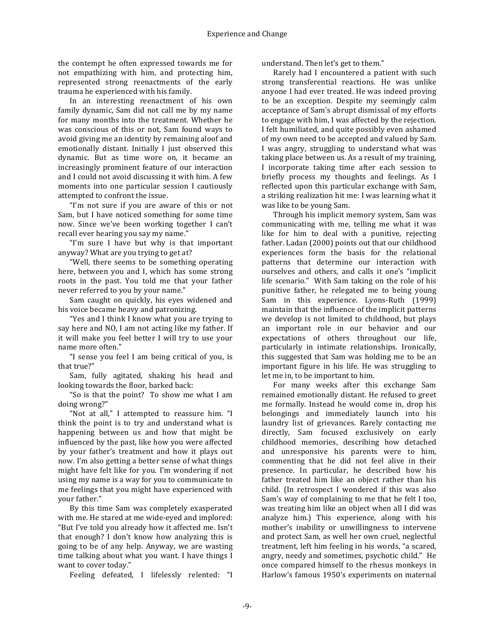the contempt he often expressed towards me for not empathizing with him, and protecting him. represented strong reenactments of the early trauma he experienced with his family.

In an interesting reenactment of his own family dynamic, Sam did not call me by my name for many months into the treatment. Whether he was conscious of this or not, Sam found ways to avoid giving me an identity by remaining aloof and emotionally distant. Initially I just observed this dynamic. But as time wore on, it became an increasingly prominent feature of our interaction and I could not avoid discussing it with him. A few moments into one particular session I cautiously attempted to confront the issue.

"I'm not sure if you are aware of this or not Sam, but I have noticed something for some time now. Since we've been working together I can't recall ever hearing you say my name."

"I'm sure I have but why is that important anyway? What are you trying to get at?

"Well, there seems to be something operating here, between you and I, which has some strong roots in the past. You told me that your father never referred to you by your name."

Sam caught on quickly, his eyes widened and his voice became heavy and patronizing.

"Yes and I think I know what you are trying to say here and NO, I am not acting like my father. If it will make you feel better I will try to use your name more often."

"I sense you feel I am being critical of you, is that true?"

Sam, fully agitated, shaking his head and looking towards the floor, barked back:

"So is that the point? To show me what I am doing wrong?"

"Not at all," I attempted to reassure him. "I think the point is to try and understand what is happening between us and how that might be influenced by the past, like how you were affected by your father's treatment and how it plays out now. I'm also getting a better sense of what things might have felt like for you. I'm wondering if not using my name is a way for you to communicate to me feelings that you might have experienced with vour father."

By this time Sam was completely exasperated with me. He stared at me wide-eyed and implored: "But I've told you already how it affected me. Isn't that enough? I don't know how analyzing this is going to be of any help. Anyway, we are wasting time talking about what you want. I have things I want to cover today."

Feeling defeated, I lifelessly relented: "I

understand. Then let's get to them."

Rarely had I encountered a patient with such strong transferential reactions. He was unlike anyone I had ever treated. He was indeed proving to be an exception. Despite my seemingly calm acceptance of Sam's abrupt dismissal of my efforts to engage with him, I was affected by the rejection. I felt humiliated, and quite possibly even ashamed of my own need to be accepted and valued by Sam. I was angry, struggling to understand what was taking place between us. As a result of my training, I incorporate taking time after each session to briefly process my thoughts and feelings. As I reflected upon this particular exchange with Sam, a striking realization hit me: I was learning what it was like to be young Sam.

Through his implicit memory system, Sam was communicating with me, telling me what it was like for him to deal with a punitive, rejecting father. Ladan (2000) points out that our childhood experiences form the basis for the relational patterns that determine our interaction with ourselves and others, and calls it one's "implicit life scenario." With Sam taking on the role of his punitive father, he relegated me to being young Sam in this experience. Lyons-Ruth (1999) maintain that the influence of the implicit patterns we develop is not limited to childhood, but plays an important role in our behavior and our expectations of others throughout our life, particularly in intimate relationships. Ironically, this suggested that Sam was holding me to be an important figure in his life. He was struggling to let me in, to be important to him.

For many weeks after this exchange Sam remained emotionally distant. He refused to greet me formally. Instead he would come in, drop his belongings and immediately launch into his laundry list of grievances. Rarely contacting me directly, Sam focused exclusively on early childhood memories, describing how detached and unresponsive his parents were to him, commenting that he did not feel alive in their presence. In particular, he described how his father treated him like an object rather than his child. (In retrospect I wondered if this was also Sam's way of complaining to me that he felt I too, was treating him like an obiect when all I did was analyze him.) This experience, along with his mother's inability or unwillingness to intervene and protect Sam, as well her own cruel, neglectful treatment, left him feeling in his words, "a scared, angry, needy and sometimes, psychotic child." He once compared himself to the rhesus monkeys in Harlow's famous 1950's experiments on maternal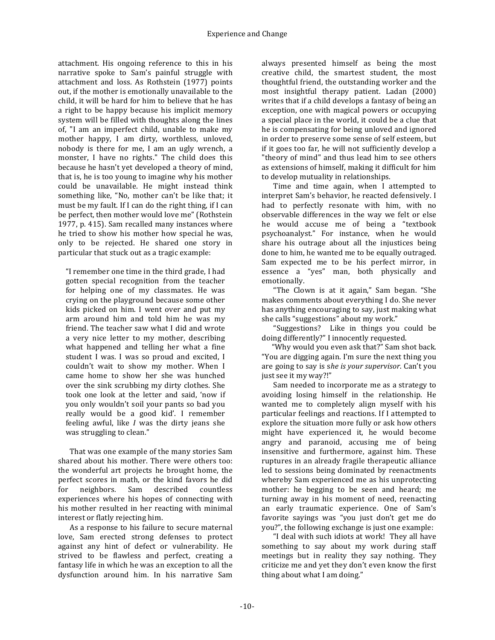attachment. His ongoing reference to this in his narrative spoke to Sam's painful struggle with attachment and loss. As Rothstein (1977) points out, if the mother is emotionally unavailable to the child, it will be hard for him to believe that he has a right to be happy because his implicit memory system will be filled with thoughts along the lines of, "I am an imperfect child, unable to make my mother happy, I am dirty, worthless, unloved, nobody is there for me, I am an ugly wrench, a monster, I have no rights." The child does this because he hasn't yet developed a theory of mind, that is, he is too young to imagine why his mother could be unavailable. He might instead think something like, "No, mother can't be like that; it must be my fault. If I can do the right thing, if I can be perfect, then mother would love me" (Rothstein 1977, p. 415). Sam recalled many instances where he tried to show his mother how special he was, only to be rejected. He shared one story in particular that stuck out as a tragic example:

"I remember one time in the third grade, I had gotten special recognition from the teacher for helping one of my classmates. He was crying on the playground because some other kids picked on him. I went over and put my arm around him and told him he was my friend. The teacher saw what I did and wrote a very nice letter to my mother, describing what happened and telling her what a fine student I was. I was so proud and excited, I couldn't wait to show my mother. When I came home to show her she was hunched over the sink scrubbing my dirty clothes. She took one look at the letter and said, 'now if you only wouldn't soil your pants so bad you really would be a good kid'. I remember feeling awful, like *I* was the dirty jeans she was struggling to clean."

That was one example of the many stories Sam shared about his mother. There were others too: the wonderful art projects he brought home, the perfect scores in math, or the kind favors he did for neighbors*.* Sam described countless experiences where his hopes of connecting with his mother resulted in her reacting with minimal interest or flatly rejecting him.

As a response to his failure to secure maternal love, Sam erected strong defenses to protect against any hint of defect or vulnerability. He strived to be flawless and perfect, creating a fantasy life in which he was an exception to all the dysfunction around him. In his narrative Sam

always presented himself as being the most creative child, the smartest student, the most thoughtful friend, the outstanding worker and the most insightful therapy patient. Ladan (2000) writes that if a child develops a fantasy of being an exception, one with magical powers or occupying a special place in the world, it could be a clue that he is compensating for being unloved and ignored in order to preserve some sense of self esteem, but if it goes too far, he will not sufficiently develop a "theory of mind" and thus lead him to see others as extensions of himself, making it difficult for him to develop mutuality in relationships.

Time and time again, when I attempted to interpret Sam's behavior, he reacted defensively. I had to perfectly resonate with him, with no observable differences in the way we felt or else he would accuse me of being a "textbook psychoanalyst." For instance, when he would share his outrage about all the injustices being done to him, he wanted me to be equally outraged. Sam expected me to be his perfect mirror, in essence a "yes" man, both physically and emotionally.

"The Clown is at it again," Sam began. "She makes comments about everything I do. She never has anything encouraging to say, just making what she calls "suggestions" about my work."

"Suggestions? Like in things you could be doing differently?" I innocently requested.

"Why would you even ask that?" Sam shot back. "You are digging again. I'm sure the next thing you are going to say is she is your supervisor. Can't you just see it my way?!"

Sam needed to incorporate me as a strategy to avoiding losing himself in the relationship. He wanted me to completely align myself with his particular feelings and reactions. If I attempted to explore the situation more fully or ask how others might have experienced it, he would become angry and paranoid, accusing me of being insensitive and furthermore, against him. These ruptures in an already fragile therapeutic alliance led to sessions being dominated by reenactments whereby Sam experienced me as his unprotecting mother: he begging to be seen and heard; me turning away in his moment of need, reenacting an early traumatic experience. One of Sam's favorite sayings was "you just don't get me do you?", the following exchange is just one example:

"I deal with such idiots at work! They all have something to say about my work during staff meetings but in reality they say nothing. They criticize me and yet they don't even know the first thing about what  $I$  am doing."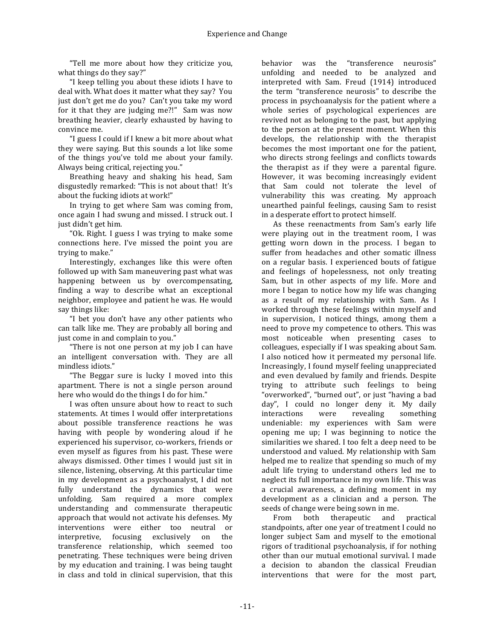"Tell me more about how they criticize you, what things do they say?"

"I keep telling you about these idiots I have to deal with. What does it matter what they say? You just don't get me do you? Can't you take my word for it that they are judging me?!" Sam was now breathing heavier, clearly exhausted by having to convince me.

"I guess I could if I knew a bit more about what they were saying. But this sounds a lot like some of the things you've told me about your family. Always being critical, rejecting you."

Breathing heavy and shaking his head, Sam disgustedly remarked: "This is not about that! It's about the fucking idiots at work!"

In trying to get where Sam was coming from, once again I had swung and missed. I struck out. I just didn't get him.

"Ok. Right. I guess I was trying to make some connections here. I've missed the point you are trying to make."

Interestingly, exchanges like this were often followed up with Sam maneuvering past what was happening between us by overcompensating, finding a way to describe what an exceptional neighbor, employee and patient he was. He would say things like:

"I bet you don't have any other patients who can talk like me. They are probably all boring and just come in and complain to you."

"There is not one person at my job I can have an intelligent conversation with. They are all mindless idiots."

"The Beggar sure is lucky I moved into this apartment. There is not a single person around here who would do the things I do for him."

I was often unsure about how to react to such statements. At times I would offer interpretations about possible transference reactions he was having with people by wondering aloud if he experienced his supervisor, co-workers, friends or even myself as figures from his past. These were always dismissed. Other times I would just sit in silence, listening, observing. At this particular time in my development as a psychoanalyst, I did not fully understand the dynamics that were unfolding. Sam required a more complex understanding and commensurate therapeutic approach that would not activate his defenses. My interventions were either too neutral or interpretive, focusing exclusively on the transference relationship, which seemed too penetrating. These techniques were being driven by my education and training. I was being taught in class and told in clinical supervision, that this

behavior was the "transference neurosis" unfolding and needed to be analyzed and interpreted with Sam. Freud (1914) introduced the term "transference neurosis" to describe the process in psychoanalysis for the patient where a whole series of psychological experiences are revived not as belonging to the past, but applying to the person at the present moment. When this develops, the relationship with the therapist becomes the most important one for the patient, who directs strong feelings and conflicts towards the therapist as if they were a parental figure. However, it was becoming increasingly evident that Sam could not tolerate the level of vulnerability this was creating. My approach unearthed painful feelings, causing Sam to resist in a desperate effort to protect himself.

As these reenactments from Sam's early life were playing out in the treatment room, I was getting worn down in the process. I began to suffer from headaches and other somatic illness on a regular basis. I experienced bouts of fatigue and feelings of hopelessness, not only treating Sam, but in other aspects of my life. More and more I began to notice how my life was changing as a result of my relationship with Sam. As I worked through these feelings within myself and in supervision, I noticed things, among them a need to prove my competence to others. This was most noticeable when presenting cases to colleagues, especially if I was speaking about Sam. I also noticed how it permeated my personal life. Increasingly, I found myself feeling unappreciated and even devalued by family and friends. Despite trying to attribute such feelings to being "overworked", "burned out", or just "having a bad day", I could no longer deny it. My daily interactions were revealing something undeniable: my experiences with Sam were opening me up; I was beginning to notice the similarities we shared. I too felt a deep need to be understood and valued. My relationship with Sam helped me to realize that spending so much of my adult life trying to understand others led me to neglect its full importance in my own life. This was a crucial awareness, a defining moment in my development as a clinician and a person. The seeds of change were being sown in me.

From both therapeutic and practical standpoints, after one year of treatment I could no longer subject Sam and myself to the emotional rigors of traditional psychoanalysis, if for nothing other than our mutual emotional survival. I made a decision to abandon the classical Freudian interventions that were for the most part,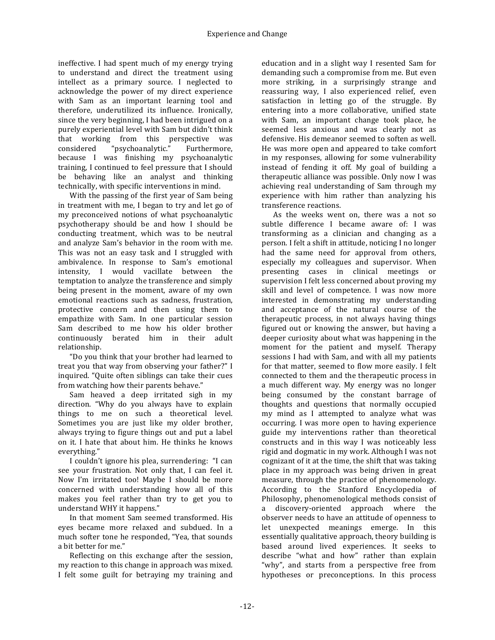ineffective. I had spent much of my energy trying to understand and direct the treatment using intellect as a primary source. I neglected to acknowledge the power of my direct experience with Sam as an important learning tool and therefore, underutilized its influence. Ironically, since the very beginning, I had been intrigued on a purely experiential level with Sam but didn't think that working from this perspective was considered "psychoanalytic." Furthermore, because I was finishing my psychoanalytic training, I continued to feel pressure that I should be behaving like an analyst and thinking technically, with specific interventions in mind.

With the passing of the first year of Sam being in treatment with me, I began to try and let go of my preconceived notions of what psychoanalytic psychotherapy should be and how I should be conducting treatment, which was to be neutral and analyze Sam's behavior in the room with me. This was not an easy task and I struggled with ambivalence. In response to Sam's emotional intensity, I would vacillate between the temptation to analyze the transference and simply being present in the moment, aware of my own emotional reactions such as sadness, frustration, protective concern and then using them to empathize with Sam. In one particular session Sam described to me how his older brother continuously berated him in their adult relationship.

"Do you think that your brother had learned to treat you that way from observing your father?" I inquired. "Ouite often siblings can take their cues from watching how their parents behave."

Sam heaved a deep irritated sigh in my direction. "Why do you always have to explain things to me on such a theoretical level. Sometimes you are just like my older brother, always trying to figure things out and put a label on it. I hate that about him. He thinks he knows everything."

I couldn't ignore his plea, surrendering: "I can see your frustration. Not only that, I can feel it. Now I'm irritated too! Maybe I should be more concerned with understanding how all of this makes you feel rather than try to get you to understand WHY it happens."

In that moment Sam seemed transformed. His eyes became more relaxed and subdued. In a much softer tone he responded, "Yea, that sounds a bit better for me."

Reflecting on this exchange after the session, my reaction to this change in approach was mixed. I felt some guilt for betraying my training and

education and in a slight way I resented Sam for demanding such a compromise from me. But even more striking, in a surprisingly strange and reassuring way, I also experienced relief, even satisfaction in letting go of the struggle. By entering into a more collaborative, unified state with Sam, an important change took place, he seemed less anxious and was clearly not as defensive. His demeanor seemed to soften as well. He was more open and appeared to take comfort in my responses, allowing for some vulnerability instead of fending it off. My goal of building a therapeutic alliance was possible. Only now I was achieving real understanding of Sam through my experience with him rather than analyzing his transference reactions.

As the weeks went on, there was a not so subtle difference I became aware of: I was transforming as a clinician and changing as a person. I felt a shift in attitude, noticing I no longer had the same need for approval from others, especially my colleagues and supervisor. When presenting cases in clinical meetings or supervision I felt less concerned about proving my skill and level of competence. I was now more interested in demonstrating my understanding and acceptance of the natural course of the therapeutic process, in not always having things figured out or knowing the answer, but having a deeper curiosity about what was happening in the moment for the patient and myself. Therapy sessions I had with Sam, and with all my patients for that matter, seemed to flow more easily. I felt connected to them and the therapeutic process in a much different way. My energy was no longer being consumed by the constant barrage of thoughts and questions that normally occupied my mind as I attempted to analyze what was occurring. I was more open to having experience guide my interventions rather than theoretical constructs and in this way I was noticeably less rigid and dogmatic in my work. Although I was not cognizant of it at the time, the shift that was taking place in my approach was being driven in great measure, through the practice of phenomenology. According to the Stanford Encyclopedia of Philosophy, phenomenological methods consist of a discovery-oriented approach where the observer needs to have an attitude of openness to let unexpected meanings emerge. In this essentially qualitative approach, theory building is based around lived experiences. It seeks to describe "what and how" rather than explain "why", and starts from a perspective free from hypotheses or preconceptions. In this process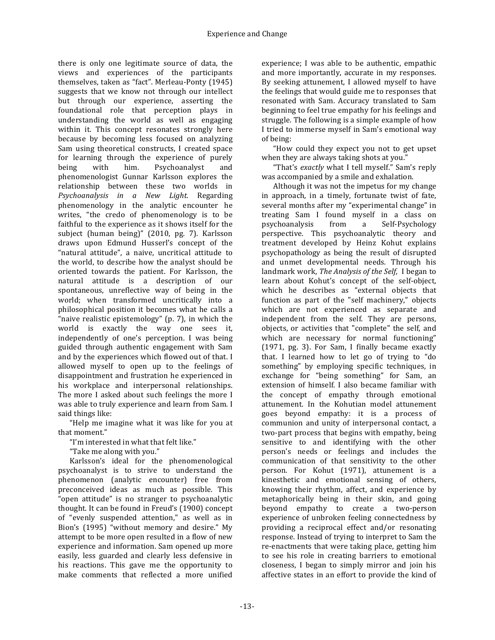there is only one legitimate source of data, the views and experiences of the participants themselves, taken as "fact". Merleau-Ponty (1945) suggests that we know not through our intellect but through our experience, asserting the foundational role that perception plays in understanding the world as well as engaging within it. This concept resonates strongly here because by becoming less focused on analyzing Sam using theoretical constructs, I created space for learning through the experience of purely being with him. Psychoanalyst and phenomenologist Gunnar Karlsson explores the relationship between these two worlds in *Psychoanalysis in a New Light.* Regarding phenomenology in the analytic encounter he writes, "the credo of phenomenology is to be faithful to the experience as it shows itself for the subject (human being)" (2010, pg. 7). Karlsson draws upon Edmund Husserl's concept of the "natural attitude", a naive, uncritical attitude to the world, to describe how the analyst should be oriented towards the patient. For Karlsson, the natural attitude is a description of our spontaneous, unreflective way of being in the world; when transformed uncritically into a philosophical position it becomes what he calls a "naive realistic epistemology" (p.  $7$ ), in which the world is exactly the way one sees it, independently of one's perception. I was being guided through authentic engagement with Sam and by the experiences which flowed out of that. I allowed myself to open up to the feelings of disappointment and frustration he experienced in his workplace and interpersonal relationships. The more I asked about such feelings the more I was able to truly experience and learn from Sam. I said things like:

"Help me imagine what it was like for you at that moment."

"I'm interested in what that felt like."

"Take me along with you."

Karlsson's ideal for the phenomenological psychoanalyst is to strive to understand the phenomenon (analytic encounter) free from preconceived ideas as much as possible. This "open attitude" is no stranger to psychoanalytic thought. It can be found in Freud's (1900) concept of "evenly suspended attention," as well as in Bion's (1995) "without memory and desire." My attempt to be more open resulted in a flow of new experience and information. Sam opened up more easily, less guarded and clearly less defensive in his reactions. This gave me the opportunity to make comments that reflected a more unified

experience; I was able to be authentic, empathic and more importantly, accurate in my responses. By seeking attunement, I allowed myself to have the feelings that would guide me to responses that resonated with Sam. Accuracy translated to Sam beginning to feel true empathy for his feelings and struggle. The following is a simple example of how I tried to immerse myself in Sam's emotional way of being:

"How could they expect you not to get upset when they are always taking shots at you."

"That's *exactly* what I tell myself." Sam's reply was accompanied by a smile and exhalation.

Although it was not the impetus for my change in approach, in a timely, fortunate twist of fate, several months after my "experimental change" in treating Sam I found myself in a class on psychoanalysis from a Self-Psychology perspective. This psychoanalytic theory and treatment developed by Heinz Kohut explains psychopathology as being the result of disrupted and unmet developmental needs. Through his landmark work, *The Analysis of the Self*, I began to learn about Kohut's concept of the self-object, which he describes as "external objects that function as part of the "self machinery," objects which are not experienced as separate and independent from the self. They are persons, objects, or activities that "complete" the self, and which are necessary for normal functioning" (1971, pg. 3). For Sam, I finally became exactly that. I learned how to let go of trying to "do" something" by employing specific techniques, in exchange for "being something" for Sam, an extension of himself. I also became familiar with the concept of empathy through emotional attunement. In the Kohutian model attunement goes beyond empathy: it is a process of communion and unity of interpersonal contact, a two-part process that begins with empathy, being sensitive to and identifying with the other person's needs or feelings and includes the communication of that sensitivity to the other person. For Kohut (1971), attunement is a kinesthetic and emotional sensing of others, knowing their rhythm, affect, and experience by metaphorically being in their skin, and going beyond empathy to create a two-person experience of unbroken feeling connectedness by providing a reciprocal effect and/or resonating response. Instead of trying to interpret to Sam the re-enactments that were taking place, getting him to see his role in creating barriers to emotional closeness, I began to simply mirror and join his affective states in an effort to provide the kind of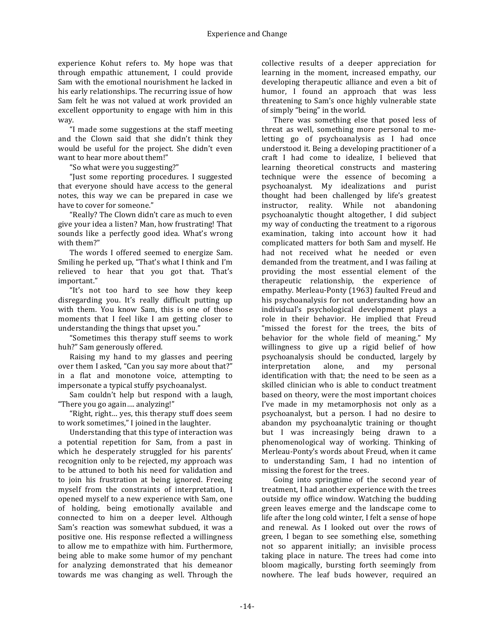experience Kohut refers to. My hope was that through empathic attunement. I could provide Sam with the emotional nourishment he lacked in his early relationships. The recurring issue of how Sam felt he was not valued at work provided an excellent opportunity to engage with him in this way.

"I made some suggestions at the staff meeting and the Clown said that she didn't think they would be useful for the project. She didn't even want to hear more about them!"

"So what were you suggesting?"

"Just some reporting procedures. I suggested that everyone should have access to the general notes, this way we can be prepared in case we have to cover for someone."

"Really? The Clown didn't care as much to even give your idea a listen? Man, how frustrating! That sounds like a perfectly good idea. What's wrong with them?"

The words I offered seemed to energize Sam. Smiling he perked up, "That's what I think and I'm relieved to hear that you got that. That's important."

"It's not too hard to see how they keep disregarding you. It's really difficult putting up with them. You know Sam, this is one of those moments that I feel like I am getting closer to understanding the things that upset you."

"Sometimes this therapy stuff seems to work huh?" Sam generously offered.

Raising my hand to my glasses and peering over them I asked, "Can you say more about that?" in a flat and monotone voice, attempting to impersonate a typical stuffy psychoanalyst.

Sam couldn't help but respond with a laugh, "There you go again.... analyzing!"

"Right, right... yes, this therapy stuff does seem to work sometimes," I joined in the laughter.

Understanding that this type of interaction was a potential repetition for Sam, from a past in which he desperately struggled for his parents' recognition only to be rejected, my approach was to be attuned to both his need for validation and to join his frustration at being ignored. Freeing myself from the constraints of interpretation, I opened myself to a new experience with Sam, one of holding, being emotionally available and connected to him on a deeper level. Although Sam's reaction was somewhat subdued, it was a positive one. His response reflected a willingness to allow me to empathize with him. Furthermore, being able to make some humor of my penchant for analyzing demonstrated that his demeanor towards me was changing as well. Through the

collective results of a deeper appreciation for learning in the moment, increased empathy, our developing therapeutic alliance and even a bit of humor, I found an approach that was less threatening to Sam's once highly vulnerable state of simply "being" in the world.

There was something else that posed less of threat as well, something more personal to meletting go of psychoanalysis as I had once understood it. Being a developing practitioner of a craft I had come to idealize, I believed that learning theoretical constructs and mastering technique were the essence of becoming a psychoanalyst. My idealizations and purist thought had been challenged by life's greatest instructor, reality. While not abandoning psychoanalytic thought altogether, I did subject my way of conducting the treatment to a rigorous examination, taking into account how it had complicated matters for both Sam and myself. He had not received what he needed or even demanded from the treatment, and I was failing at providing the most essential element of the therapeutic relationship, the experience of empathy. Merleau-Ponty (1963) faulted Freud and his psychoanalysis for not understanding how an individual's psychological development plays a role in their behavior. He implied that Freud "missed the forest for the trees, the bits of behavior for the whole field of meaning." My willingness to give up a rigid belief of how psychoanalysis should be conducted, largely by interpretation alone, and my personal identification with that: the need to be seen as a skilled clinician who is able to conduct treatment based on theory, were the most important choices I've made in my metamorphosis not only as a psychoanalyst, but a person. I had no desire to abandon my psychoanalytic training or thought but I was increasingly being drawn to a phenomenological way of working. Thinking of Merleau-Ponty's words about Freud, when it came to understanding Sam, I had no intention of missing the forest for the trees.

Going into springtime of the second year of treatment, I had another experience with the trees outside my office window. Watching the budding green leaves emerge and the landscape come to life after the long cold winter, I felt a sense of hope and renewal. As I looked out over the rows of green, I began to see something else, something not so apparent initially; an invisible process taking place in nature. The trees had come into bloom magically, bursting forth seemingly from nowhere. The leaf buds however, required an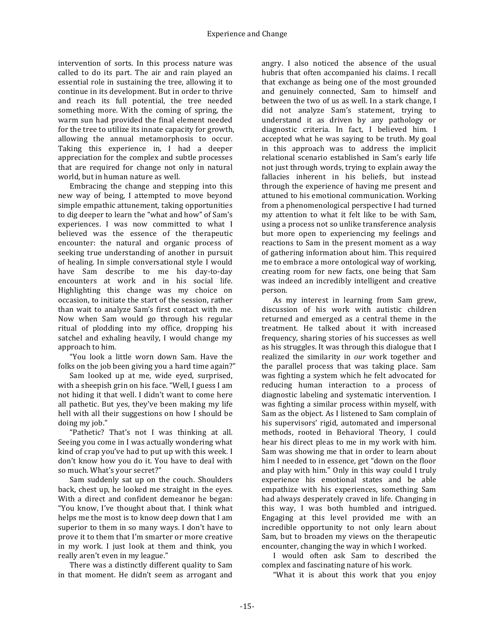intervention of sorts. In this process nature was called to do its part. The air and rain played an essential role in sustaining the tree, allowing it to continue in its development. But in order to thrive and reach its full potential, the tree needed something more. With the coming of spring, the warm sun had provided the final element needed for the tree to utilize its innate capacity for growth, allowing the annual metamorphosis to occur. Taking this experience in, I had a deeper appreciation for the complex and subtle processes that are required for change not only in natural world, but in human nature as well.

Embracing the change and stepping into this new way of being, I attempted to move beyond simple empathic attunement, taking opportunities to dig deeper to learn the "what and how" of Sam's experiences. I was now committed to what I believed was the essence of the therapeutic encounter: the natural and organic process of seeking true understanding of another in pursuit of healing. In simple conversational style I would have Sam describe to me his day-to-day encounters at work and in his social life. Highlighting this change was my choice on occasion, to initiate the start of the session, rather than wait to analyze Sam's first contact with me. Now when Sam would go through his regular ritual of plodding into my office, dropping his satchel and exhaling heavily, I would change my approach to him.

"You look a little worn down Sam. Have the folks on the job been giving you a hard time again?"

Sam looked up at me, wide eyed, surprised, with a sheepish grin on his face. "Well, I guess I am not hiding it that well. I didn't want to come here all pathetic. But yes, they've been making my life hell with all their suggestions on how I should be doing my job."

"Pathetic? That's not I was thinking at all. Seeing you come in I was actually wondering what kind of crap you've had to put up with this week. I don't know how you do it. You have to deal with so much. What's your secret?"

Sam suddenly sat up on the couch. Shoulders back, chest up, he looked me straight in the eyes. With a direct and confident demeanor he began: "You know, I've thought about that. I think what helps me the most is to know deep down that I am superior to them in so many ways. I don't have to prove it to them that I'm smarter or more creative in my work. I just look at them and think, you really aren't even in my league."

There was a distinctly different quality to Sam in that moment. He didn't seem as arrogant and

angry. I also noticed the absence of the usual hubris that often accompanied his claims. I recall that exchange as being one of the most grounded and genuinely connected, Sam to himself and between the two of us as well. In a stark change, I did not analyze Sam's statement, trying to understand it as driven by any pathology or diagnostic criteria. In fact, I believed him. I accepted what he was saying to be truth. My goal in this approach was to address the implicit relational scenario established in Sam's early life not just through words, trying to explain away the fallacies inherent in his beliefs, but instead through the experience of having me present and attuned to his emotional communication. Working from a phenomenological perspective I had turned my attention to what it felt like to be with Sam, using a process not so unlike transference analysis but more open to experiencing my feelings and reactions to Sam in the present moment as a way of gathering information about him. This required me to embrace a more ontological way of working, creating room for new facts, one being that Sam was indeed an incredibly intelligent and creative person.

As my interest in learning from Sam grew, discussion of his work with autistic children returned and emerged as a central theme in the treatment. He talked about it with increased frequency, sharing stories of his successes as well as his struggles. It was through this dialogue that I realized the similarity in *our* work together and the parallel process that was taking place. Sam was fighting a system which he felt advocated for reducing human interaction to a process of diagnostic labeling and systematic intervention. I was fighting a similar process within myself, with Sam as the object. As I listened to Sam complain of his supervisors' rigid, automated and impersonal methods, rooted in Behavioral Theory, I could hear his direct pleas to me in my work with him. Sam was showing me that in order to learn about him I needed to in essence, get "down on the floor and play with him." Only in this way could I truly experience his emotional states and be able empathize with his experiences, something Sam had always desperately craved in life. Changing in this way, I was both humbled and intrigued. Engaging at this level provided me with an incredible opportunity to not only learn about Sam, but to broaden my views on the therapeutic encounter, changing the way in which I worked.

I would often ask Sam to described the complex and fascinating nature of his work.

"What it is about this work that you enjoy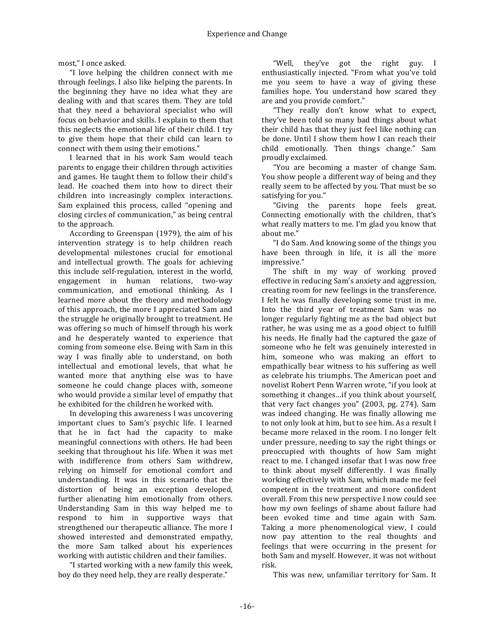most," I once asked.

"I love helping the children connect with me through feelings. I also like helping the parents. In the beginning they have no idea what they are dealing with and that scares them. They are told that they need a behavioral specialist who will focus on behavior and skills. I explain to them that this neglects the emotional life of their child. I try to give them hope that their child can learn to connect with them using their emotions."

I learned that in his work Sam would teach parents to engage their children through activities and games. He taught them to follow their child's lead. He coached them into how to direct their children into increasingly complex interactions. Sam explained this process, called "opening and closing circles of communication," as being central to the approach.

According to Greenspan (1979), the aim of his intervention strategy is to help children reach developmental milestones crucial for emotional and intellectual growth. The goals for achieving this include self-regulation, interest in the world, engagement in human relations, two-way communication, and emotional thinking. As I learned more about the theory and methodology of this approach, the more I appreciated Sam and the struggle he originally brought to treatment. He was offering so much of himself through his work and he desperately wanted to experience that coming from someone else. Being with Sam in this way I was finally able to understand, on both intellectual and emotional levels, that what he wanted more that anything else was to have someone he could change places with, someone who would provide a similar level of empathy that he exhibited for the children he worked with.

In developing this awareness I was uncovering important clues to Sam's psychic life. I learned that he in fact had the capacity to make meaningful connections with others. He had been seeking that throughout his life. When it was met with indifference from others Sam withdrew, relying on himself for emotional comfort and understanding. It was in this scenario that the distortion of being an exception developed, further alienating him emotionally from others. Understanding Sam in this way helped me to respond to him in supportive ways that strengthened our therapeutic alliance. The more I showed interested and demonstrated empathy, the more Sam talked about his experiences working with autistic children and their families.

"I started working with a new family this week, boy do they need help, they are really desperate."

"Well, they've got the right guy. I enthusiastically injected. "From what you've told me you seem to have a way of giving these families hope. You understand how scared they are and you provide comfort."

"They really don't know what to expect, they've been told so many bad things about what their child has that they just feel like nothing can be done. Until I show them how I can reach their child emotionally. Then things change." Sam proudly exclaimed.

"You are becoming a master of change Sam. You show people a different way of being and they really seem to be affected by you. That must be so satisfying for you."

"Giving the parents hope feels great. Connecting emotionally with the children, that's what really matters to me. I'm glad you know that about me."

"I do Sam. And knowing some of the things you have been through in life, it is all the more impressive."

The shift in my way of working proved effective in reducing Sam's anxiety and aggression, creating room for new feelings in the transference. I felt he was finally developing some trust in me. Into the third vear of treatment Sam was no longer regularly fighting me as the bad object but rather, he was using me as a good object to fulfill his needs. He finally had the captured the gaze of someone who he felt was genuinely interested in him, someone who was making an effort to empathically bear witness to his suffering as well as celebrate his triumphs. The American poet and novelist Robert Penn Warren wrote, "if you look at something it changes...if you think about yourself, that very fact changes you"  $(2003, \text{pg. } 274)$ . Sam was indeed changing. He was finally allowing me to not only look at him, but to see him. As a result I became more relaxed in the room. I no longer felt under pressure, needing to say the right things or preoccupied with thoughts of how Sam might react to me. I changed insofar that I was now free to think about myself differently. I was finally working effectively with Sam, which made me feel competent in the treatment and more confident overall. From this new perspective I now could see how my own feelings of shame about failure had been evoked time and time again with Sam. Taking a more phenomenological view, I could now pay attention to the real thoughts and feelings that were occurring in the present for both Sam and myself. However, it was not without risk.

This was new, unfamiliar territory for Sam. It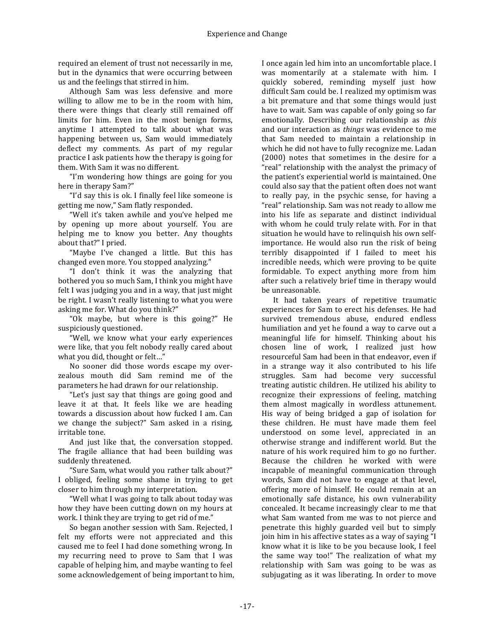required an element of trust not necessarily in me, but in the dynamics that were occurring between us and the feelings that stirred in him.

Although Sam was less defensive and more willing to allow me to be in the room with him, there were things that clearly still remained off limits for him. Even in the most benign forms, anytime I attempted to talk about what was happening between us, Sam would immediately deflect my comments. As part of my regular practice I ask patients how the therapy is going for them. With Sam it was no different.

"I'm wondering how things are going for you here in therapy Sam?"

"I'd say this is ok. I finally feel like someone is getting me now," Sam flatly responded.

"Well it's taken awhile and you've helped me by opening up more about yourself. You are helping me to know you better. Any thoughts about that?" I pried.

"Maybe I've changed a little. But this has changed even more. You stopped analyzing."

"I don't think it was the analyzing that bothered you so much Sam, I think you might have felt I was judging you and in a way, that just might be right. I wasn't really listening to what you were asking me for. What do you think?"

"Ok maybe, but where is this going?" He suspiciously questioned.

"Well, we know what your early experiences were like, that you felt nobody really cared about what you did, thought or felt..."

No sooner did those words escape my overzealous mouth did Sam remind me of the parameters he had drawn for our relationship.

"Let's just say that things are going good and leave it at that. It feels like we are heading towards a discussion about how fucked I am. Can we change the subject?" Sam asked in a rising, irritable tone.

And just like that, the conversation stopped. The fragile alliance that had been building was suddenly threatened.

"Sure Sam, what would you rather talk about?" I obliged, feeling some shame in trying to get closer to him through my interpretation.

"Well what I was going to talk about today was how they have been cutting down on my hours at work. I think they are trying to get rid of me."

So began another session with Sam. Rejected, I felt my efforts were not appreciated and this caused me to feel I had done something wrong. In my recurring need to prove to Sam that I was capable of helping him, and maybe wanting to feel some acknowledgement of being important to him,

I once again led him into an uncomfortable place. I was momentarily at a stalemate with him. I quickly sobered, reminding myself just how difficult Sam could be. I realized my optimism was a bit premature and that some things would just have to wait. Sam was capable of only going so far emotionally. Describing our relationship as *this* and our interaction as *things* was evidence to me that Sam needed to maintain a relationship in which he did not have to fully recognize me. Ladan  $(2000)$  notes that sometimes in the desire for a "real" relationship with the analyst the primacy of the patient's experiential world is maintained. One could also say that the patient often does not want to really pay, in the psychic sense, for having a "real" relationship. Sam was not ready to allow me into his life as separate and distinct individual with whom he could truly relate with. For in that situation he would have to relinquish his own selfimportance. He would also run the risk of being terribly disappointed if I failed to meet his incredible needs, which were proving to be quite formidable. To expect anything more from him after such a relatively brief time in therapy would be unreasonable.

It had taken years of repetitive traumatic experiences for Sam to erect his defenses. He had survived tremendous abuse, endured endless humiliation and yet he found a way to carve out a meaningful life for himself. Thinking about his chosen line of work, I realized just how resourceful Sam had been in that endeavor, even if in a strange way it also contributed to his life struggles. Sam had become very successful treating autistic children. He utilized his ability to recognize their expressions of feeling, matching them almost magically in wordless attunement. His way of being bridged a gap of isolation for these children. He must have made them feel understood on some level, appreciated in an otherwise strange and indifferent world. But the nature of his work required him to go no further. Because the children he worked with were incapable of meaningful communication through words, Sam did not have to engage at that level, offering more of himself. He could remain at an emotionally safe distance, his own vulnerability concealed. It became increasingly clear to me that what Sam wanted from me was to not pierce and penetrate this highly guarded veil but to simply join him in his affective states as a way of saying "I know what it is like to be you because look, I feel the same way too!" The realization of what my relationship with Sam was going to be was as subjugating as it was liberating. In order to move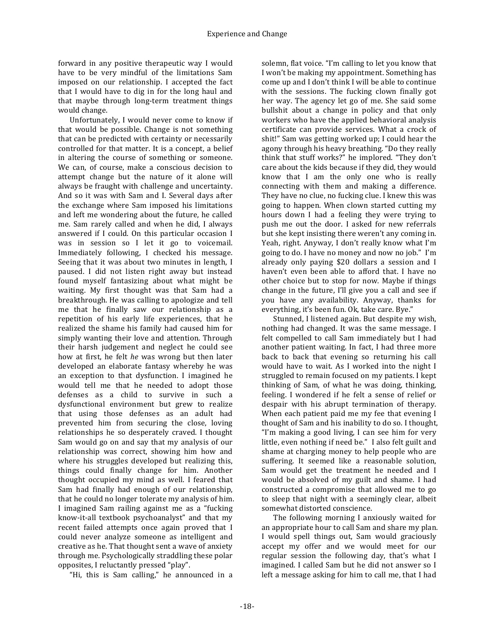forward in any positive therapeutic way I would have to be very mindful of the limitations Sam imposed on our relationship. I accepted the fact that I would have to dig in for the long haul and that maybe through long-term treatment things would change.

Unfortunately, I would never come to know if that would be possible. Change is not something that can be predicted with certainty or necessarily controlled for that matter. It is a concept, a belief in altering the course of something or someone. We can, of course, make a conscious decision to attempt change but the nature of it alone will always be fraught with challenge and uncertainty. And so it was with Sam and I. Several days after the exchange where Sam imposed his limitations and left me wondering about the future, he called me. Sam rarely called and when he did, I always answered if I could. On this particular occasion I was in session so I let it go to voicemail. Immediately following, I checked his message. Seeing that it was about two minutes in length, I paused. I did not listen right away but instead found myself fantasizing about what might be waiting. My first thought was that Sam had a breakthrough. He was calling to apologize and tell me that he finally saw our relationship as a repetition of his early life experiences, that he realized the shame his family had caused him for simply wanting their love and attention. Through their harsh judgement and neglect he could see how at first, he felt *he* was wrong but then later developed an elaborate fantasy whereby he was an exception to that dysfunction. I imagined he would tell me that he needed to adopt those defenses as a child to survive in such a dysfunctional environment but grew to realize that using those defenses as an adult had prevented him from securing the close, loving relationships he so desperately craved. I thought Sam would go on and say that my analysis of our relationship was correct, showing him how and where his struggles developed but realizing this. things could finally change for him. Another thought occupied my mind as well. I feared that Sam had finally had enough of our relationship, that he could no longer tolerate my analysis of him. I imagined Sam railing against me as a "fucking" know-it-all textbook psychoanalyst" and that my recent failed attempts once again proved that I could never analyze someone as intelligent and creative as he. That thought sent a wave of anxiety through me. Psychologically straddling these polar opposites, I reluctantly pressed "play".

"Hi, this is Sam calling," he announced in a

solemn, flat voice. "I'm calling to let you know that I won't be making my appointment. Something has come up and I don't think I will be able to continue with the sessions. The fucking clown finally got her way. The agency let go of me. She said some bullshit about a change in policy and that only workers who have the applied behavioral analysis certificate can provide services. What a crock of shit!" Sam was getting worked up; I could hear the agony through his heavy breathing. "Do they really think that stuff works?" he implored. "They don't care about the kids because if they did, they would know that I am the only one who is really connecting with them and making a difference. They have no clue, no fucking clue. I knew this was going to happen. When clown started cutting my hours down I had a feeling they were trying to push me out the door. I asked for new referrals but she kept insisting there weren't any coming in. Yeah, right. Anyway, I don't really know what I'm going to do. I have no money and now no job." I'm already only paying \$20 dollars a session and I haven't even been able to afford that. I have no other choice but to stop for now. Maybe if things change in the future, I'll give you a call and see if you have any availability. Anyway, thanks for everything, it's been fun. Ok, take care. Bye."

Stunned, I listened again. But despite my wish, nothing had changed. It was the same message. I felt compelled to call Sam immediately but I had another patient waiting. In fact, I had three more back to back that evening so returning his call would have to wait. As I worked into the night I struggled to remain focused on my patients. I kept thinking of Sam, of what he was doing, thinking, feeling. I wondered if he felt a sense of relief or despair with his abrupt termination of therapy. When each patient paid me my fee that evening I thought of Sam and his inability to do so. I thought, "I'm making a good living, I can see him for very little, even nothing if need be." I also felt guilt and shame at charging money to help people who are suffering. It seemed like a reasonable solution, Sam would get the treatment he needed and I would be absolved of my guilt and shame. I had constructed a compromise that allowed me to go to sleep that night with a seemingly clear, albeit somewhat distorted conscience.

The following morning I anxiously waited for an appropriate hour to call Sam and share my plan. I would spell things out, Sam would graciously accept my offer and we would meet for our regular session the following day, that's what I imagined. I called Sam but he did not answer so I left a message asking for him to call me, that I had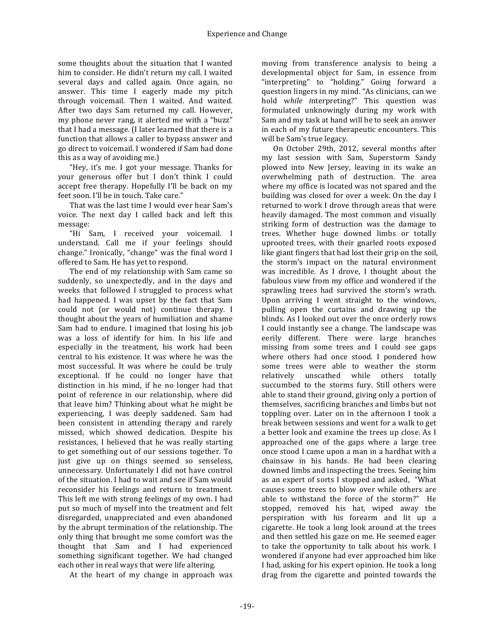some thoughts about the situation that I wanted him to consider. He didn't return my call. I waited several days and called again. Once again, no answer. This time I eagerly made my pitch through voicemail. Then I waited. And waited. After two days Sam returned my call. However, my phone never rang, it alerted me with a "buzz" that I had a message. (I later learned that there is a function that allows a caller to bypass answer and go direct to voicemail. I wondered if Sam had done this as a way of avoiding me.)

"Hey, it's me. I got your message. Thanks for your generous offer but I don't think I could accept free therapy. Hopefully I'll be back on my feet soon. I'll be in touch. Take care."

That was the last time I would ever hear Sam's voice. The next day I called back and left this message: 

"Hi Sam, I received your voicemail. I understand. Call me if your feelings should change." Ironically, "change" was the final word I offered to Sam. He has yet to respond.

The end of my relationship with Sam came so suddenly, so unexpectedly, and in the days and weeks that followed I struggled to process what had happened. I was upset by the fact that Sam could not (or would not) continue therapy. I thought about the years of humiliation and shame Sam had to endure. I imagined that losing his job was a loss of identify for him. In his life and especially in the treatment, his work had been central to his existence. It was where he was the most successful. It was where he could be truly exceptional. If he could no longer have that distinction in his mind, if he no longer had that point of reference in our relationship, where did that leave him? Thinking about what he might be experiencing, I was deeply saddened. Sam had been consistent in attending therapy and rarely missed, which showed dedication. Despite his resistances, I believed that he was really starting to get something out of our sessions together. To just give up on things seemed so senseless, unnecessary. Unfortunately I did not have control of the situation. I had to wait and see if Sam would reconsider his feelings and return to treatment. This left me with strong feelings of my own. I had put so much of myself into the treatment and felt disregarded, unappreciated and even abandoned by the abrupt termination of the relationship. The only thing that brought me some comfort was the thought that Sam and I had experienced something significant together. We had changed each other in real ways that were life altering.

At the heart of my change in approach was

moving from transference analysis to being a developmental object for Sam, in essence from "interpreting" to "holding." Going forward a question lingers in my mind. "As clinicians, can we hold while interpreting?" This question was formulated unknowingly during my work with Sam and my task at hand will be to seek an answer in each of my future therapeutic encounters. This will be Sam's true legacy.

On October 29th, 2012, several months after my last session with Sam, Superstorm Sandy plowed into New Jersey, leaving in its wake an overwhelming path of destruction. The area where my office is located was not spared and the building was closed for over a week. On the day I returned to work I drove through areas that were heavily damaged. The most common and visually striking form of destruction was the damage to trees. Whether huge downed limbs or totally uprooted trees, with their gnarled roots exposed like giant fingers that had lost their grip on the soil, the storm's impact on the natural environment was incredible. As I drove, I thought about the fabulous view from my office and wondered if the sprawling trees had survived the storm's wrath. Upon arriving I went straight to the windows, pulling open the curtains and drawing up the blinds. As I looked out over the once orderly rows I could instantly see a change. The landscape was eerily different. There were large branches missing from some trees and I could see gaps where others had once stood. I pondered how some trees were able to weather the storm relatively unscathed while others totally succumbed to the storms fury. Still others were able to stand their ground, giving only a portion of themselves, sacrificing branches and limbs but not toppling over. Later on in the afternoon I took a break between sessions and went for a walk to get a better look and examine the trees up close. As I approached one of the gaps where a large tree once stood I came upon a man in a hardhat with a chainsaw in his hands. He had been clearing downed limbs and inspecting the trees. Seeing him as an expert of sorts I stopped and asked, "What causes some trees to blow over while others are able to withstand the force of the storm?" He stopped, removed his hat, wiped away the perspiration with his forearm and lit up a cigarette. He took a long look around at the trees and then settled his gaze on me. He seemed eager to take the opportunity to talk about his work. I wondered if anyone had ever approached him like I had, asking for his expert opinion. He took a long drag from the cigarette and pointed towards the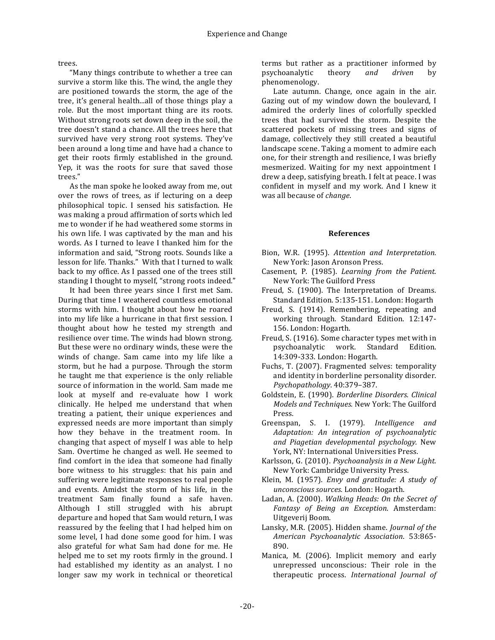trees.

"Many things contribute to whether a tree can survive a storm like this. The wind, the angle they are positioned towards the storm, the age of the tree, it's general health...all of those things play a role. But the most important thing are its roots. Without strong roots set down deep in the soil, the tree doesn't stand a chance. All the trees here that survived have very strong root systems. They've been around a long time and have had a chance to get their roots firmly established in the ground. Yep, it was the roots for sure that saved those trees."

As the man spoke he looked away from me, out over the rows of trees, as if lecturing on a deep philosophical topic. I sensed his satisfaction. He was making a proud affirmation of sorts which led me to wonder if he had weathered some storms in his own life. I was captivated by the man and his words. As I turned to leave I thanked him for the information and said, "Strong roots. Sounds like a lesson for life. Thanks." With that I turned to walk back to my office. As I passed one of the trees still standing I thought to myself, "strong roots indeed."

It had been three years since I first met Sam. During that time I weathered countless emotional storms with him. I thought about how he roared into my life like a hurricane in that first session. I thought about how he tested my strength and resilience over time. The winds had blown strong. But these were no ordinary winds, these were the winds of change. Sam came into my life like a storm, but he had a purpose. Through the storm he taught me that experience is the only reliable source of information in the world. Sam made me look at myself and re-evaluate how I work clinically. He helped me understand that when treating a patient, their unique experiences and expressed needs are more important than simply how they behave in the treatment room. In changing that aspect of myself I was able to help Sam. Overtime he changed as well. He seemed to find comfort in the idea that someone had finally bore witness to his struggles: that his pain and suffering were legitimate responses to real people and events. Amidst the storm of his life, in the treatment Sam finally found a safe haven. Although I still struggled with his abrupt departure and hoped that Sam would return, I was reassured by the feeling that I had helped him on some level, I had done some good for him. I was also grateful for what Sam had done for me. He helped me to set my roots firmly in the ground. I had established my identity as an analyst. I no longer saw my work in technical or theoretical

terms but rather as a practitioner informed by psychoanalytic theory *and driven*  by phenomenology.

Late autumn. Change, once again in the air. Gazing out of my window down the boulevard, I admired the orderly lines of colorfully speckled trees that had survived the storm. Despite the scattered pockets of missing trees and signs of damage, collectively they still created a beautiful landscape scene. Taking a moment to admire each one, for their strength and resilience, I was briefly mesmerized. Waiting for my next appointment I drew a deep, satisfying breath. I felt at peace. I was confident in myself and my work. And I knew it was all because of *change*.

#### **References**

- Bion, W.R. (1995). *Attention and Interpretation.* New York: Jason Aronson Press.
- Casement, P. (1985). *Learning from the Patient.* New York: The Guilford Press
- Freud, S. (1900). The Interpretation of Dreams. Standard Edition. 5:135-151. London: Hogarth
- Freud, S. (1914). Remembering, repeating and working through. Standard Edition. 12:147-156. London: Hogarth.
- Freud, S. (1916). Some character types met with in psychoanalytic work. Standard Edition. 14:309-333. London: Hogarth.
- Fuchs, T. (2007). Fragmented selves: temporality and identity in borderline personality disorder. *Psychopathology*. 40:379–387.
- Goldstein, E. (1990). *Borderline Disorders. Clinical Models and Techniques.* New York: The Guilford Press.
- Greenspan, S. I. (1979). *Intelligence and Adaptation: An integration of psychoanalytic and Piagetian developmental psychology.*  New York, NY: International Universities Press.
- Karlsson, G. (2010). *Psychoanalysis in a New Light.* New York: Cambridge University Press.
- Klein, M. (1957). *Envy and gratitude: A study of unconscious sources.* London: Hogarth.
- Ladan, A. (2000). *Walking Heads: On the Secret of Fantasy of Being an Exception*. Amsterdam: Uitgeverii Boom.
- Lansky, M.R. (2005). Hidden shame. *Journal of the American Psychoanalytic Association*. 53:865- 890.
- Manica, M. (2006). Implicit memory and early unrepressed unconscious: Their role in the therapeutic process. *International Journal of*